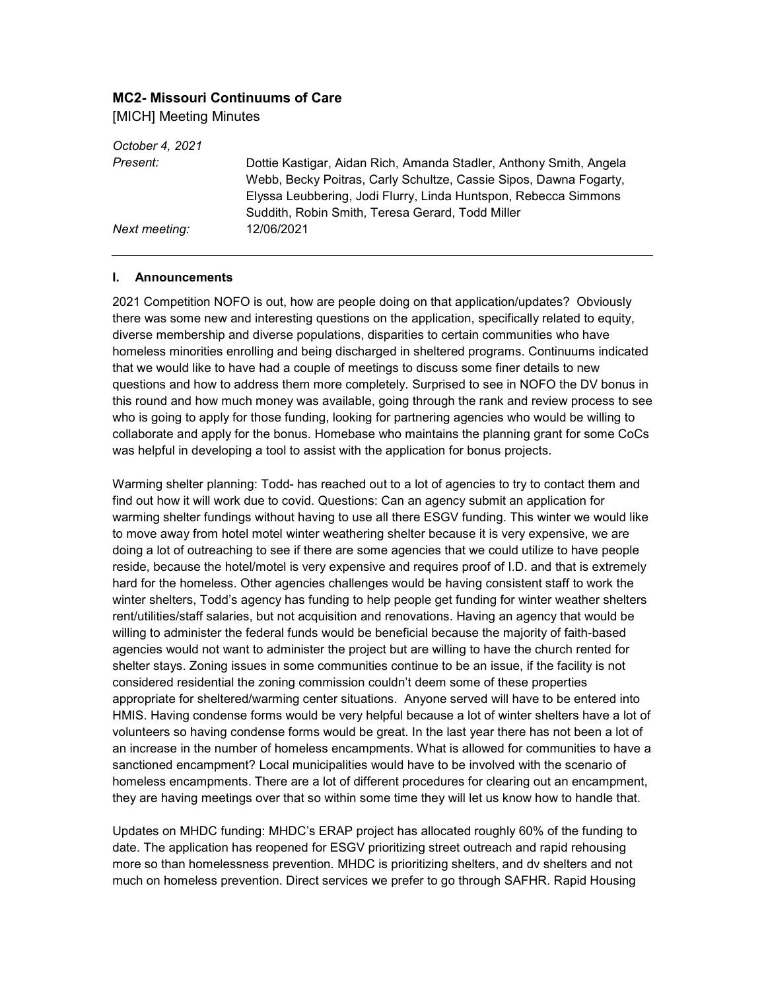## **MC2- Missouri Continuums of Care**

[MICH] Meeting Minutes

*October 4, 2021 Present:* Dottie Kastigar, Aidan Rich, Amanda Stadler, Anthony Smith, Angela Webb, Becky Poitras, Carly Schultze, Cassie Sipos, Dawna Fogarty, Elyssa Leubbering, Jodi Flurry, Linda Huntspon, Rebecca Simmons Suddith, Robin Smith, Teresa Gerard, Todd Miller *Next meeting:* 12/06/2021

## **I. Announcements**

2021 Competition NOFO is out, how are people doing on that application/updates? Obviously there was some new and interesting questions on the application, specifically related to equity, diverse membership and diverse populations, disparities to certain communities who have homeless minorities enrolling and being discharged in sheltered programs. Continuums indicated that we would like to have had a couple of meetings to discuss some finer details to new questions and how to address them more completely. Surprised to see in NOFO the DV bonus in this round and how much money was available, going through the rank and review process to see who is going to apply for those funding, looking for partnering agencies who would be willing to collaborate and apply for the bonus. Homebase who maintains the planning grant for some CoCs was helpful in developing a tool to assist with the application for bonus projects.

Warming shelter planning: Todd- has reached out to a lot of agencies to try to contact them and find out how it will work due to covid. Questions: Can an agency submit an application for warming shelter fundings without having to use all there ESGV funding. This winter we would like to move away from hotel motel winter weathering shelter because it is very expensive, we are doing a lot of outreaching to see if there are some agencies that we could utilize to have people reside, because the hotel/motel is very expensive and requires proof of I.D. and that is extremely hard for the homeless. Other agencies challenges would be having consistent staff to work the winter shelters, Todd's agency has funding to help people get funding for winter weather shelters rent/utilities/staff salaries, but not acquisition and renovations. Having an agency that would be willing to administer the federal funds would be beneficial because the majority of faith-based agencies would not want to administer the project but are willing to have the church rented for shelter stays. Zoning issues in some communities continue to be an issue, if the facility is not considered residential the zoning commission couldn't deem some of these properties appropriate for sheltered/warming center situations. Anyone served will have to be entered into HMIS. Having condense forms would be very helpful because a lot of winter shelters have a lot of volunteers so having condense forms would be great. In the last year there has not been a lot of an increase in the number of homeless encampments. What is allowed for communities to have a sanctioned encampment? Local municipalities would have to be involved with the scenario of homeless encampments. There are a lot of different procedures for clearing out an encampment, they are having meetings over that so within some time they will let us know how to handle that.

Updates on MHDC funding: MHDC's ERAP project has allocated roughly 60% of the funding to date. The application has reopened for ESGV prioritizing street outreach and rapid rehousing more so than homelessness prevention. MHDC is prioritizing shelters, and dv shelters and not much on homeless prevention. Direct services we prefer to go through SAFHR. Rapid Housing